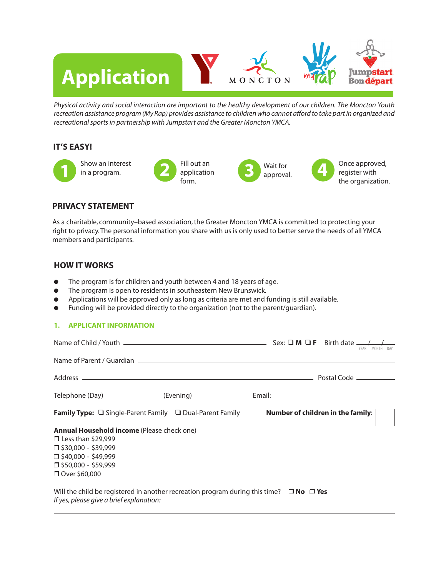# **Application** Jumpstart. MONCTON **Bon départ**

*Physical activity and social interaction are important to the healthy development of our children. The Moncton Youth recreation assistance program (My Rap) provides assistance to children who cannot afford to take part in organized and recreational sports in partnership with Jumpstart and the Greater Moncton YMCA.*

#### **IT'S EASY!**



## **PRIVACY STATEMENT**

As a charitable, community–based association, the Greater Moncton YMCA is committed to protecting your right to privacy. The personal information you share with us is only used to better serve the needs of all YMCA members and participants.

## **HOW IT WORKS**

- The program is for children and youth between 4 and 18 years of age.
- $\bullet$  The program is open to residents in southeastern New Brunswick.
- **•** Applications will be approved only as long as criteria are met and funding is still available.
- **•** Funding will be provided directly to the organization (not to the parent/guardian).

#### **1. APPLICANT INFORMATION**

| Telephone (Day) Telephone (Day)                                                                                                                                                                      | (Evening) <b>Example 2</b> |  |  |
|------------------------------------------------------------------------------------------------------------------------------------------------------------------------------------------------------|----------------------------|--|--|
| <b>Family Type:</b> $\Box$ Single-Parent Family $\Box$ Dual-Parent Family <b>Number of children in the family</b> :                                                                                  |                            |  |  |
| <b>Annual Household income</b> (Please check one)<br>$\Box$ Less than \$29,999<br>$\square$ \$30,000 - \$39,999<br>$\square$ \$40,000 - \$49,999<br>$\square$ \$50,000 - \$59,999<br>□ Over \$60,000 |                            |  |  |
| Will the child be registered in another recreation program during this time? $\Box$ No $\Box$ Yes<br>If yes, please give a brief explanation:                                                        |                            |  |  |